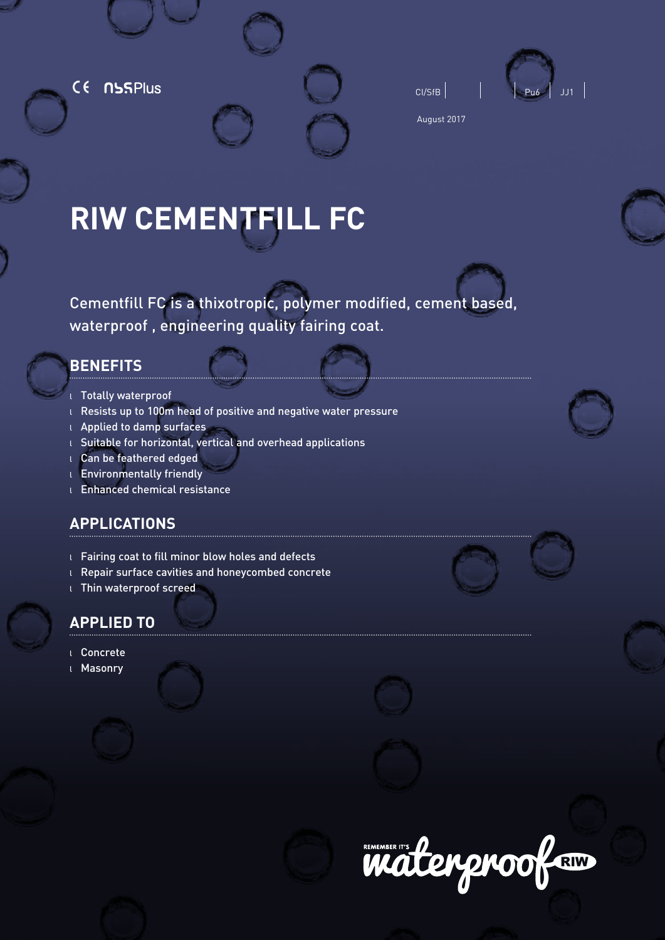CE NSSPlus





August 2017

# **RIW CEMENTFILL FC**

Cementfill FC is a thixotropic, polymer modified, cement based, waterproof , engineering quality fairing coat.

# **BENEFITS**

- <sup>l</sup> Totally waterproof
- <sup>l</sup> Resists up to 100m head of positive and negative water pressure
- <sup>l</sup> Applied to damp surfaces
- <sup>l</sup> Suitable for horizontal, vertical and overhead applications
- <sup>l</sup> Can be feathered edged
- <sup>l</sup> Environmentally friendly
- <sup>l</sup> Enhanced chemical resistance

# **APPLICATIONS**

- <sup>l</sup> Fairing coat to fill minor blow holes and defects
- <sup>l</sup> Repair surface cavities and honeycombed concrete
- <sup>l</sup> Thin waterproof screed

# **APPLIED TO**

- l Concrete
- <sup>l</sup> Masonry







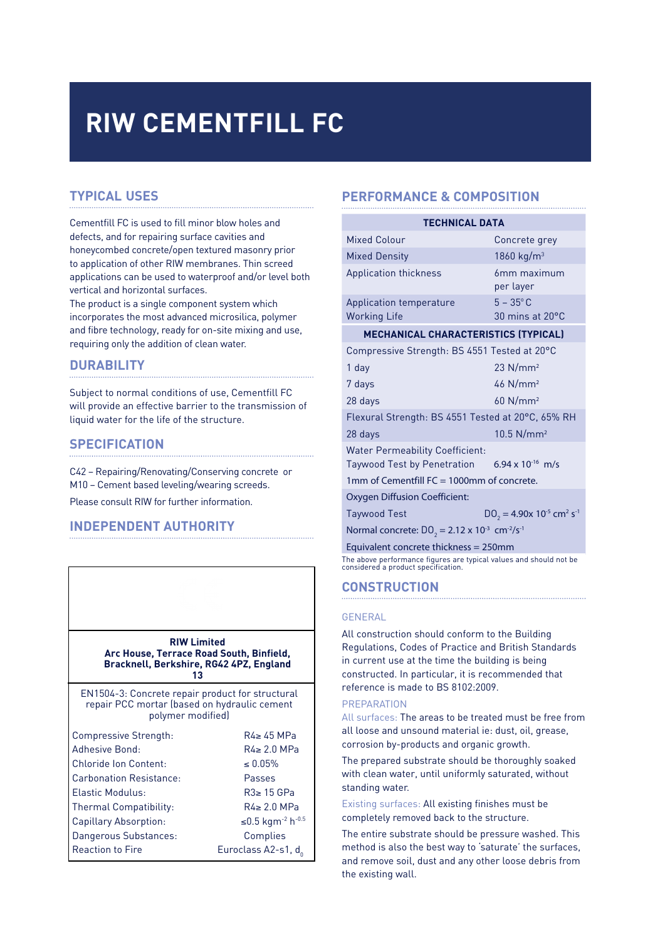# **RIW CEMENTFILL FC**

# **TYPICAL USES**

Cementfill FC is used to fill minor blow holes and defects, and for repairing surface cavities and honeycombed concrete/open textured masonry prior to application of other RIW membranes. Thin screed applications can be used to waterproof and/or level both vertical and horizontal surfaces.

The product is a single component system which incorporates the most advanced microsilica, polymer and fibre technology, ready for on-site mixing and use, requiring only the addition of clean water.

## **DURABILITY**

Subject to normal conditions of use, Cementfill FC will provide an effective barrier to the transmission of liquid water for the life of the structure.

## **SPECIFICATION**

C42 – Repairing/Renovating/Conserving concrete or M10 – Cement based leveling/wearing screeds. Please consult RIW for further information.

# **INDEPENDENT AUTHORITY**



# **PERFORMANCE & COMPOSITION**

| <b>TECHNICAL DATA</b>                                                                                                                            |                                                                 |  |
|--------------------------------------------------------------------------------------------------------------------------------------------------|-----------------------------------------------------------------|--|
| Mixed Colour                                                                                                                                     | Concrete grey                                                   |  |
| <b>Mixed Density</b>                                                                                                                             | 1860 kg/ $m^3$                                                  |  |
| <b>Application thickness</b>                                                                                                                     | 6mm maximum<br>per layer                                        |  |
| Application temperature<br><b>Working Life</b>                                                                                                   | $5 - 35^{\circ}$ C<br>$30$ mins at $20^{\circ}$ C               |  |
| <b>MECHANICAL CHARACTERISTICS (TYPICAL)</b>                                                                                                      |                                                                 |  |
| Compressive Strength: BS 4551 Tested at 20°C                                                                                                     |                                                                 |  |
| 1 day                                                                                                                                            | $23$ N/mm <sup>2</sup>                                          |  |
| 7 days                                                                                                                                           | $46$ N/mm <sup>2</sup>                                          |  |
| 28 days                                                                                                                                          | $60$ N/mm <sup>2</sup>                                          |  |
| Flexural Strength: BS 4551 Tested at 20°C, 65% RH                                                                                                |                                                                 |  |
| 28 days                                                                                                                                          | $10.5$ N/mm <sup>2</sup>                                        |  |
| <b>Water Permeability Coefficient:</b><br>Taywood Test by Penetration 6.94 x 10 <sup>-16</sup> m/s<br>1mm of Cementfill FC = 1000mm of concrete. |                                                                 |  |
| Oxygen Diffusion Coefficient:                                                                                                                    |                                                                 |  |
| <b>Taywood Test</b>                                                                                                                              | $D0_2$ = 4.90x 10 <sup>-5</sup> cm <sup>2</sup> s <sup>-1</sup> |  |
| Normal concrete: $D_0 = 2.12 \times 10^{-3}$ cm <sup>-2</sup> /s <sup>-1</sup>                                                                   |                                                                 |  |
| Equivalent concrete thickness = 250mm                                                                                                            |                                                                 |  |
| The above performance figures are typical values and should not be<br>considered a product specification.                                        |                                                                 |  |

#### **CONSTRUCTION**

#### GENERAL

All construction should conform to the Building Regulations, Codes of Practice and British Standards in current use at the time the building is being constructed. In particular, it is recommended that reference is made to BS 8102:2009.

## **PREPARATION**

All surfaces: The areas to be treated must be free from all loose and unsound material ie: dust, oil, grease, corrosion by-products and organic growth.

The prepared substrate should be thoroughly soaked with clean water, until uniformly saturated, without standing water.

Existing surfaces: All existing finishes must be completely removed back to the structure.

The entire substrate should be pressure washed. This method is also the best way to 'saturate' the surfaces, and remove soil, dust and any other loose debris from the existing wall.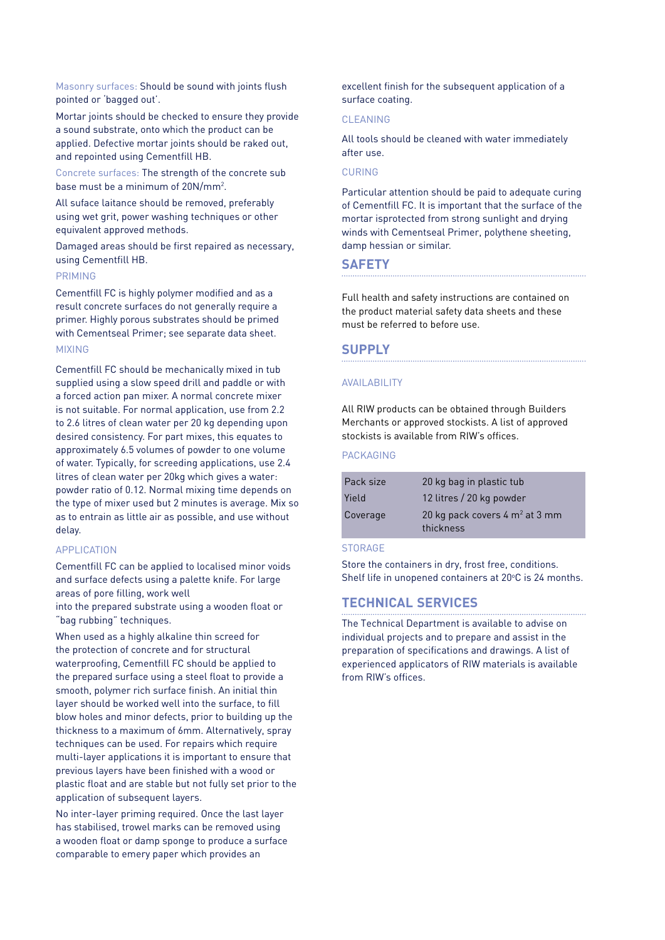Masonry surfaces: Should be sound with joints flush pointed or 'bagged out'.

Mortar joints should be checked to ensure they provide a sound substrate, onto which the product can be applied. Defective mortar joints should be raked out, and repointed using Cementfill HB.

Concrete surfaces: The strength of the concrete sub base must be a minimum of 20N/mm2 .

All suface laitance should be removed, preferably using wet grit, power washing techniques or other equivalent approved methods.

Damaged areas should be first repaired as necessary, using Cementfill HB.

#### PRIMING

Cementfill FC is highly polymer modified and as a result concrete surfaces do not generally require a primer. Highly porous substrates should be primed with Cementseal Primer; see separate data sheet. MIXING

Cementfill FC should be mechanically mixed in tub supplied using a slow speed drill and paddle or with a forced action pan mixer. A normal concrete mixer is not suitable. For normal application, use from 2.2 to 2.6 litres of clean water per 20 kg depending upon desired consistency. For part mixes, this equates to approximately 6.5 volumes of powder to one volume of water. Typically, for screeding applications, use 2.4 litres of clean water per 20kg which gives a water: powder ratio of 0.12. Normal mixing time depends on the type of mixer used but 2 minutes is average. Mix so as to entrain as little air as possible, and use without delay.

#### APPLICATION

Cementfill FC can be applied to localised minor voids and surface defects using a palette knife. For large areas of pore filling, work well

into the prepared substrate using a wooden float or "bag rubbing" techniques.

When used as a highly alkaline thin screed for the protection of concrete and for structural waterproofing, Cementfill FC should be applied to the prepared surface using a steel float to provide a smooth, polymer rich surface finish. An initial thin layer should be worked well into the surface, to fill blow holes and minor defects, prior to building up the thickness to a maximum of 6mm. Alternatively, spray techniques can be used. For repairs which require multi-layer applications it is important to ensure that previous layers have been finished with a wood or plastic float and are stable but not fully set prior to the application of subsequent layers.

No inter-layer priming required. Once the last layer has stabilised, trowel marks can be removed using a wooden float or damp sponge to produce a surface comparable to emery paper which provides an

excellent finish for the subsequent application of a surface coating.

#### CLEANING

All tools should be cleaned with water immediately after use.

#### CURING

Particular attention should be paid to adequate curing of Cementfill FC. It is important that the surface of the mortar isprotected from strong sunlight and drying winds with Cementseal Primer, polythene sheeting, damp hessian or similar.

### **SAFETY**

Full health and safety instructions are contained on the product material safety data sheets and these must be referred to before use.

#### **SUPPLY**

#### AVAILABILITY

All RIW products can be obtained through Builders Merchants or approved stockists. A list of approved stockists is available from RIW's offices.

#### PACKAGING

| Pack size | 20 kg bag in plastic tub                  |
|-----------|-------------------------------------------|
| Yield     | 12 litres / 20 kg powder                  |
| Coverage  | 20 kg pack covers $4 \text{ m}^2$ at 3 mm |
|           | thickness                                 |

#### **STORAGE**

Store the containers in dry, frost free, conditions. Shelf life in unopened containers at 20°C is 24 months.

## **TECHNICAL SERVICES**

The Technical Department is available to advise on individual projects and to prepare and assist in the preparation of specifications and drawings. A list of experienced applicators of RIW materials is available from RIW's offices.